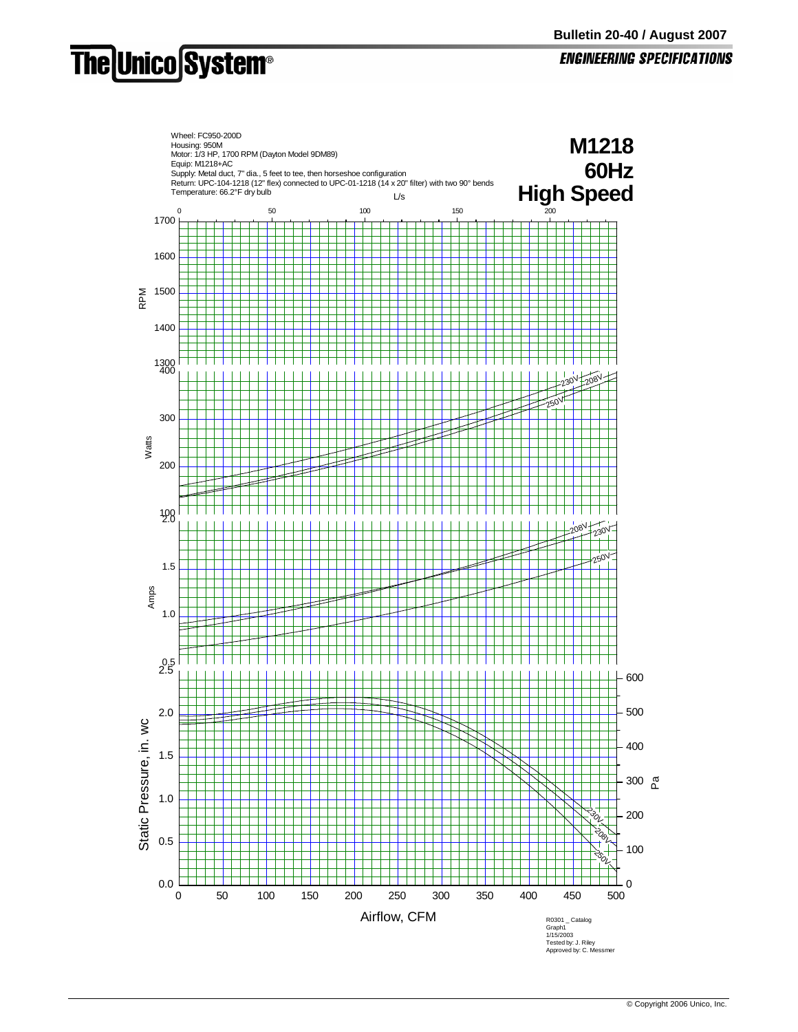## **The Unico System®**

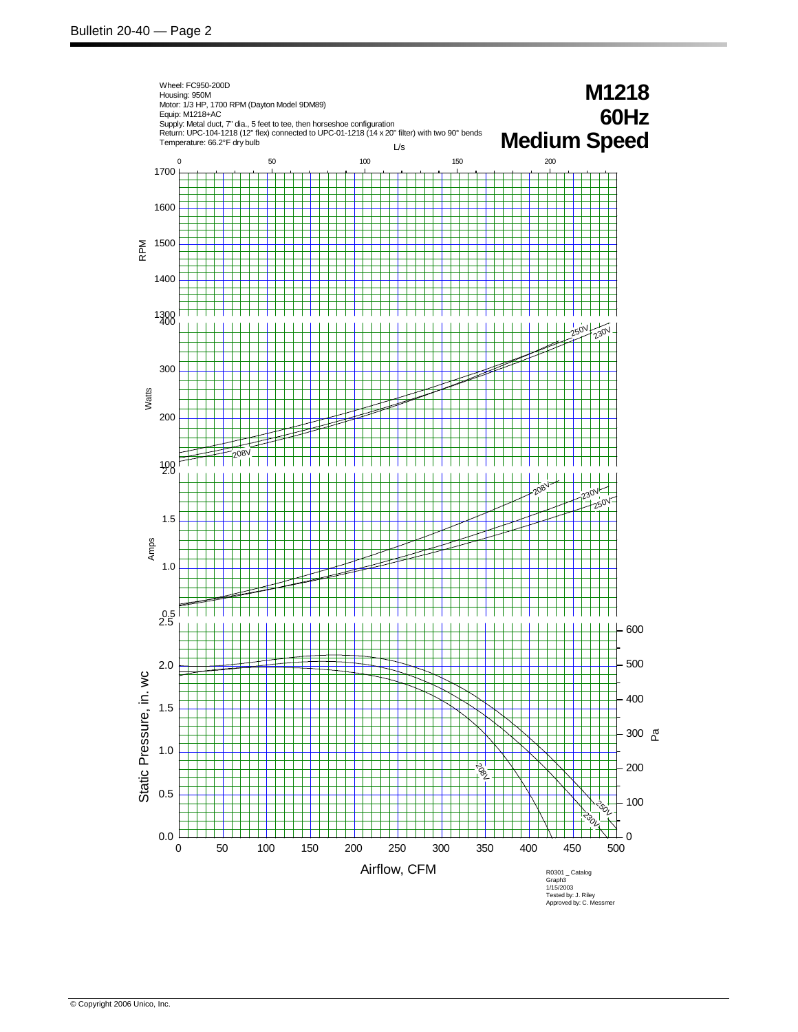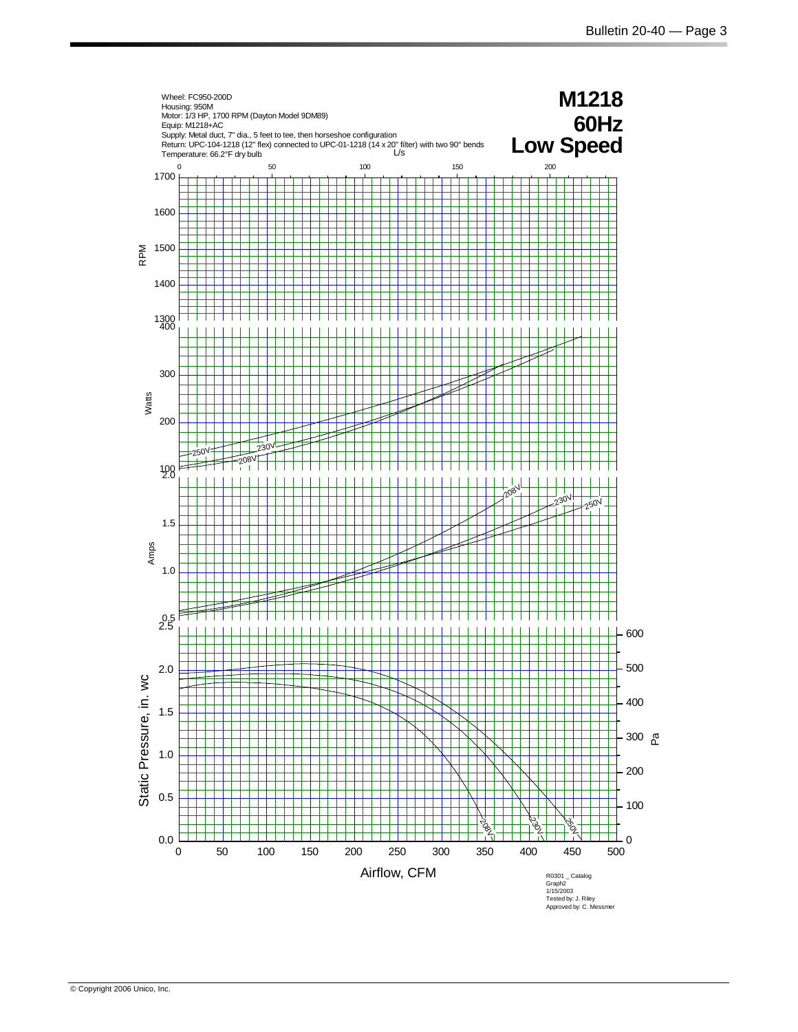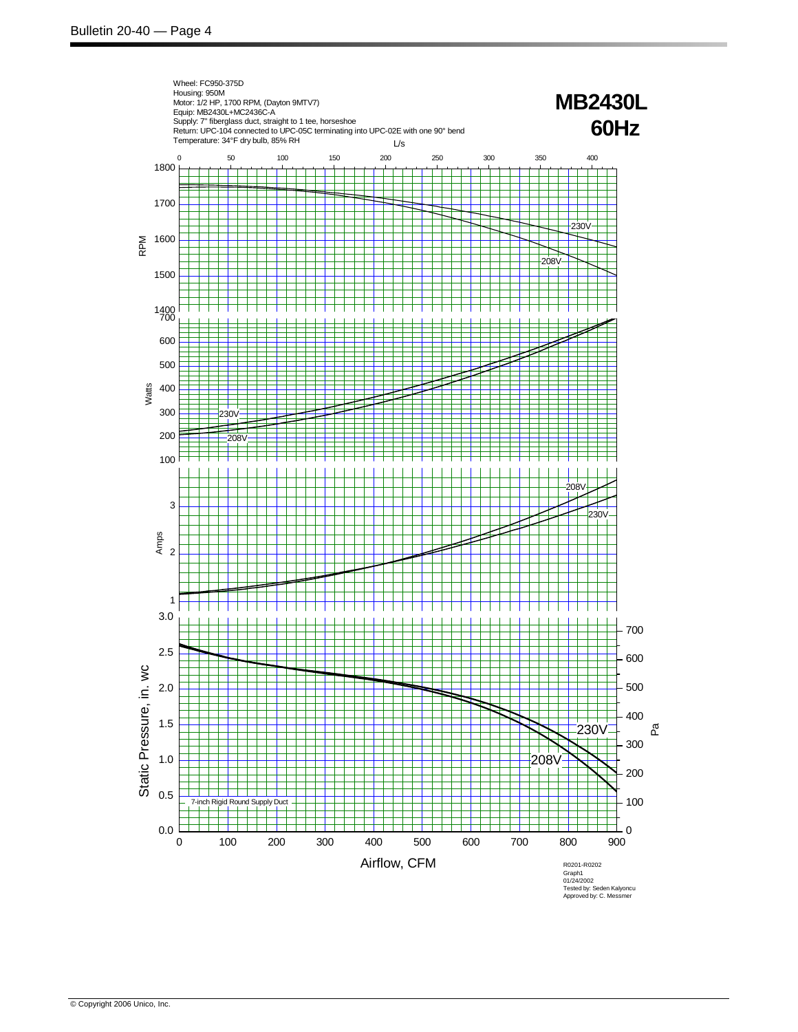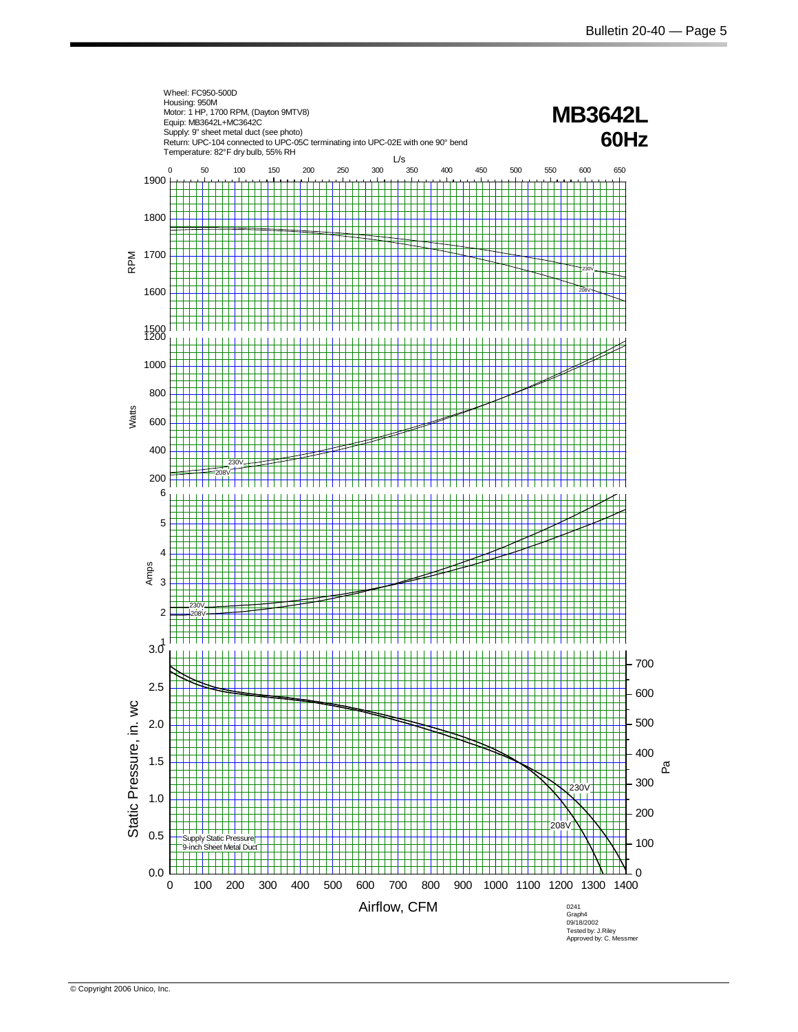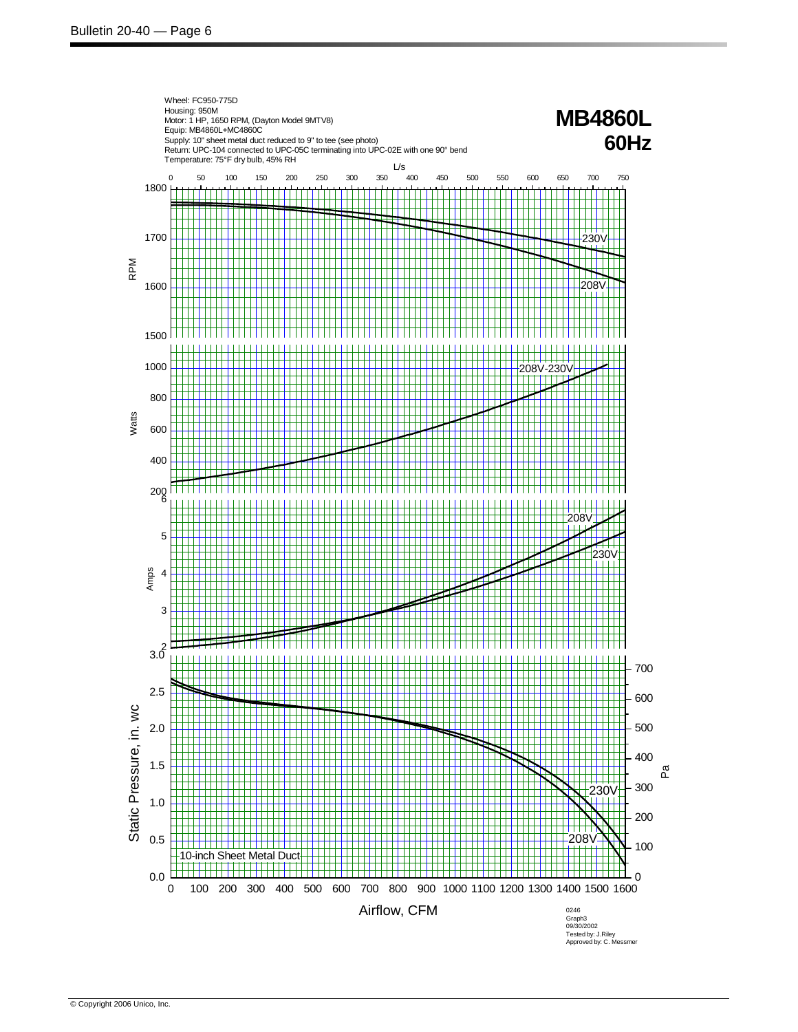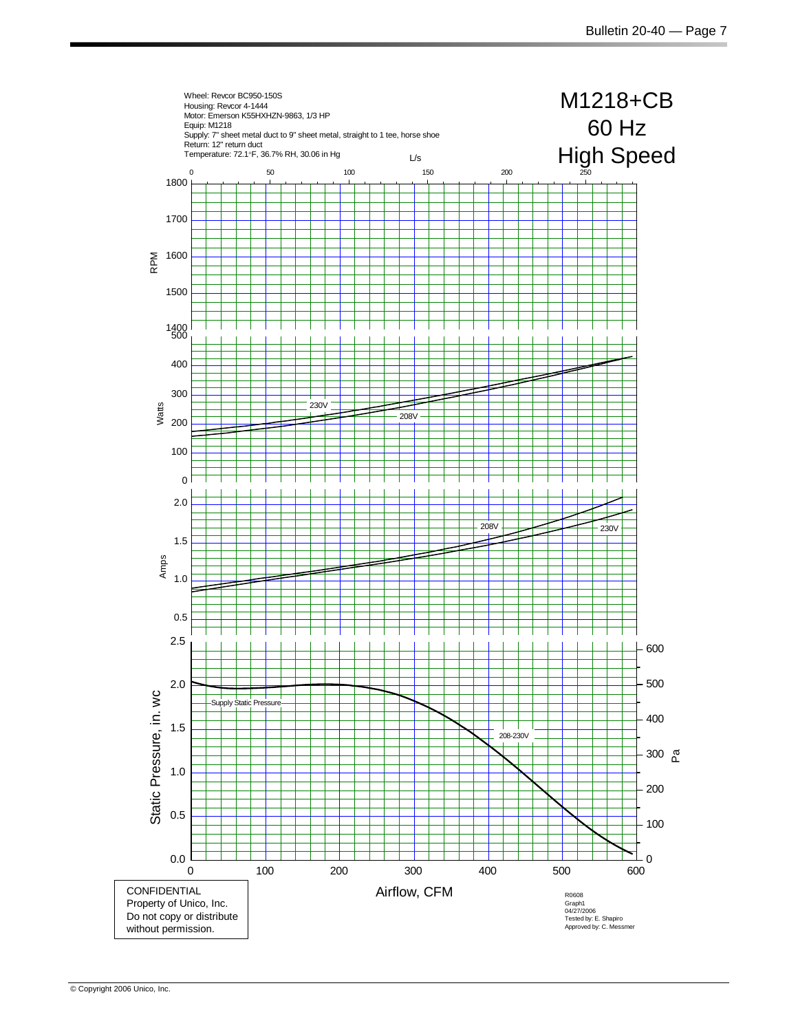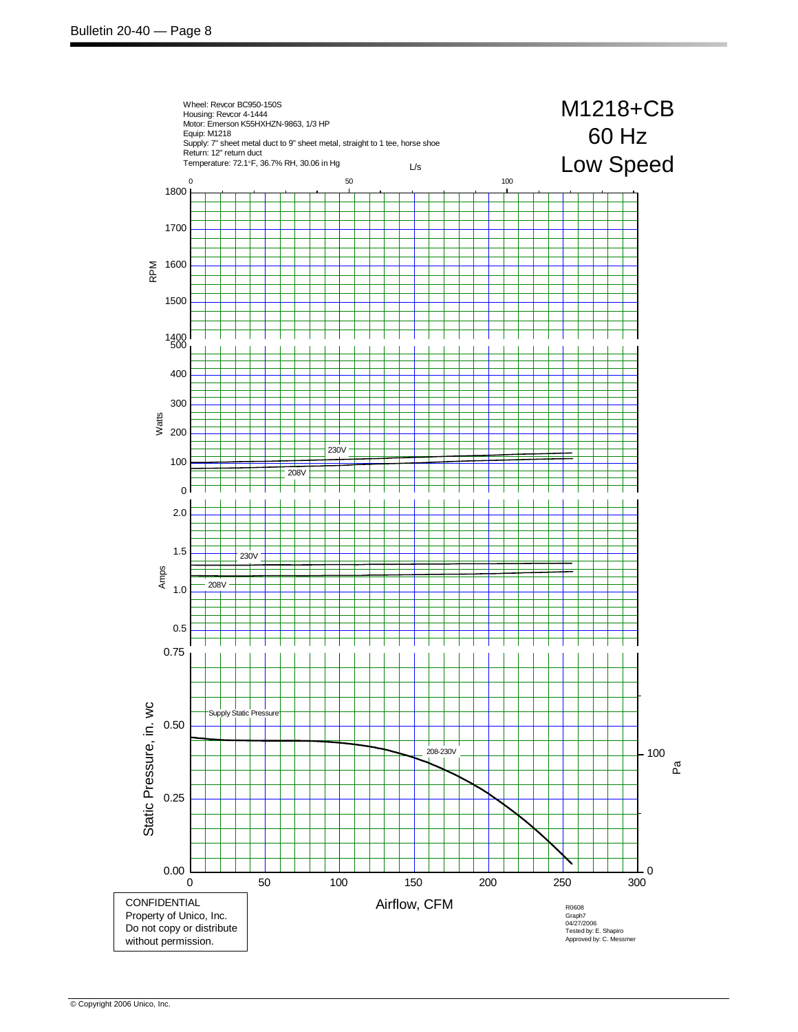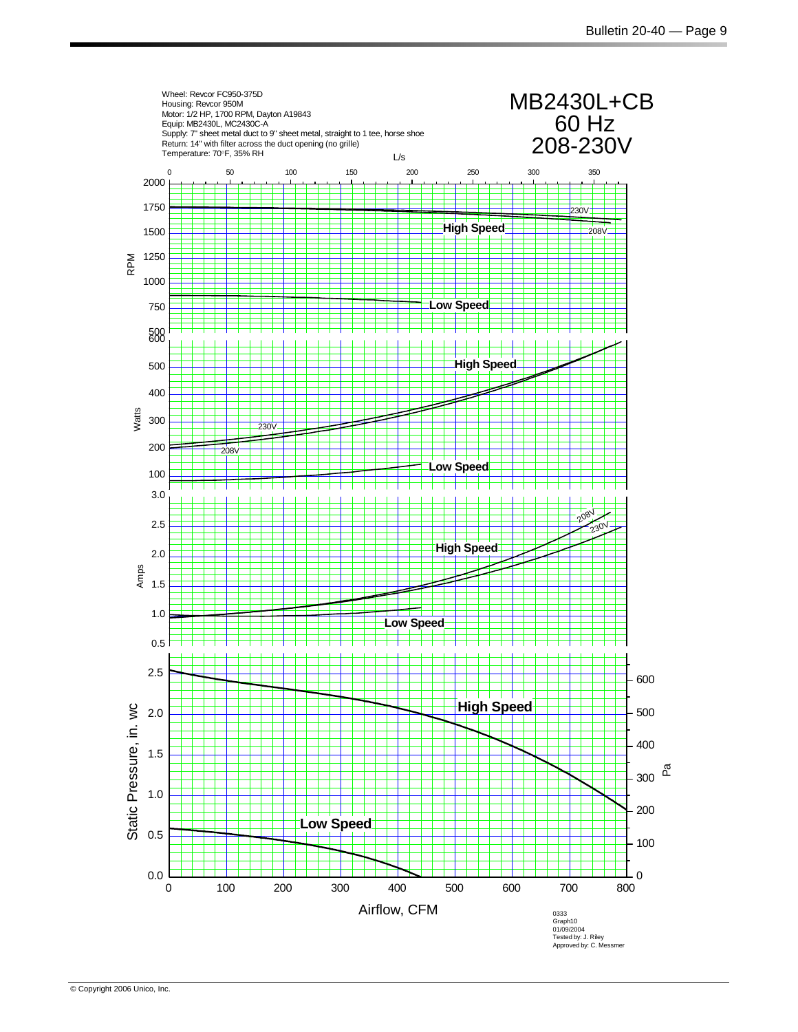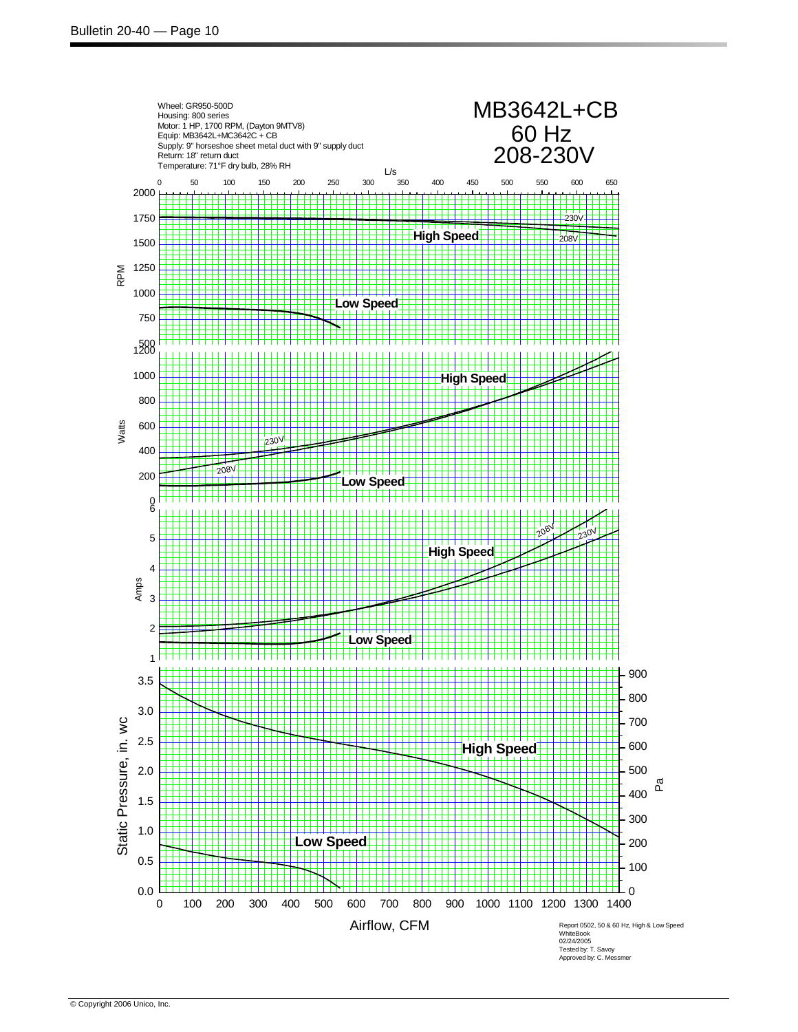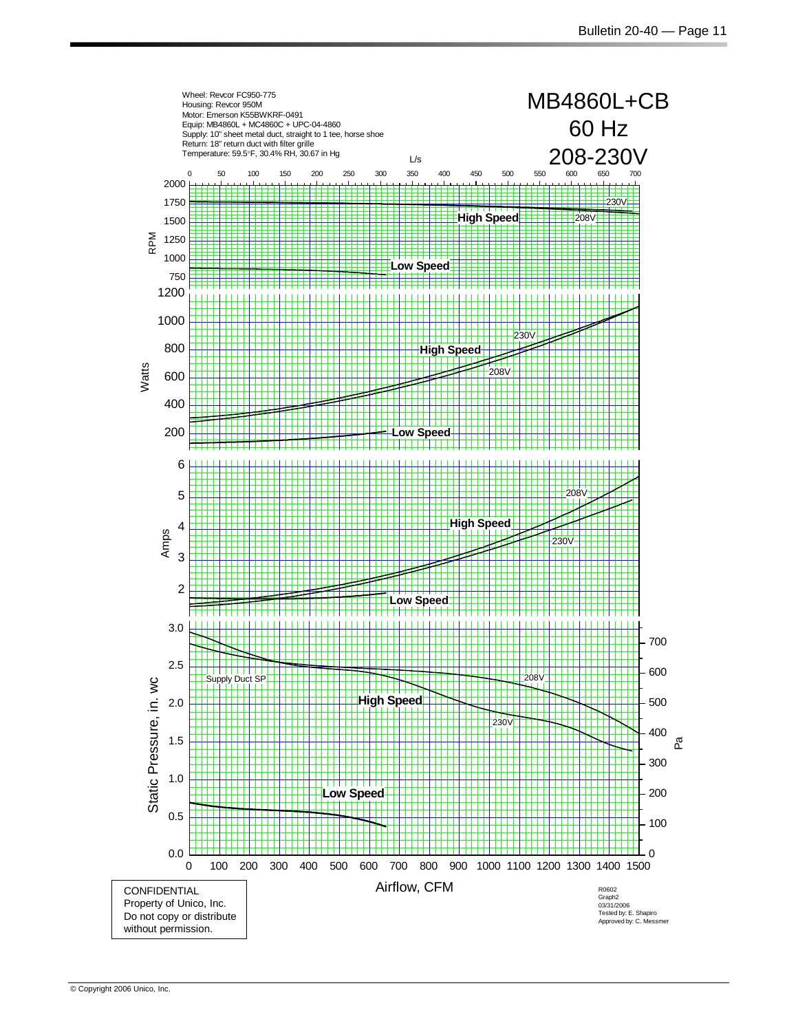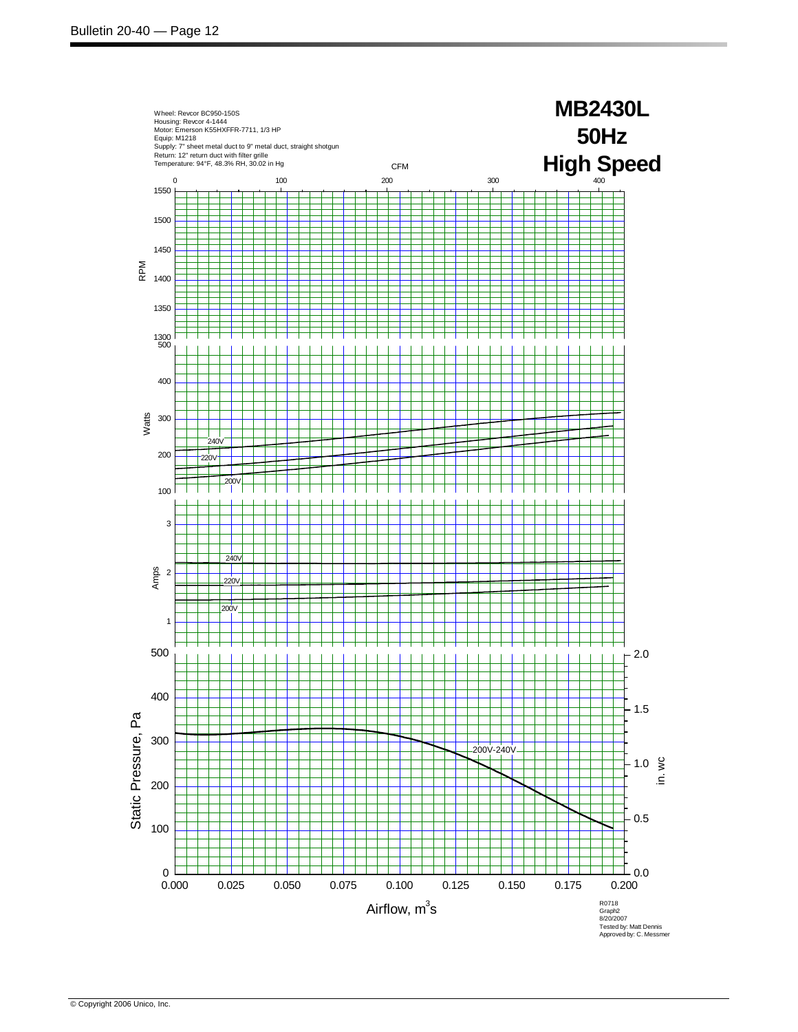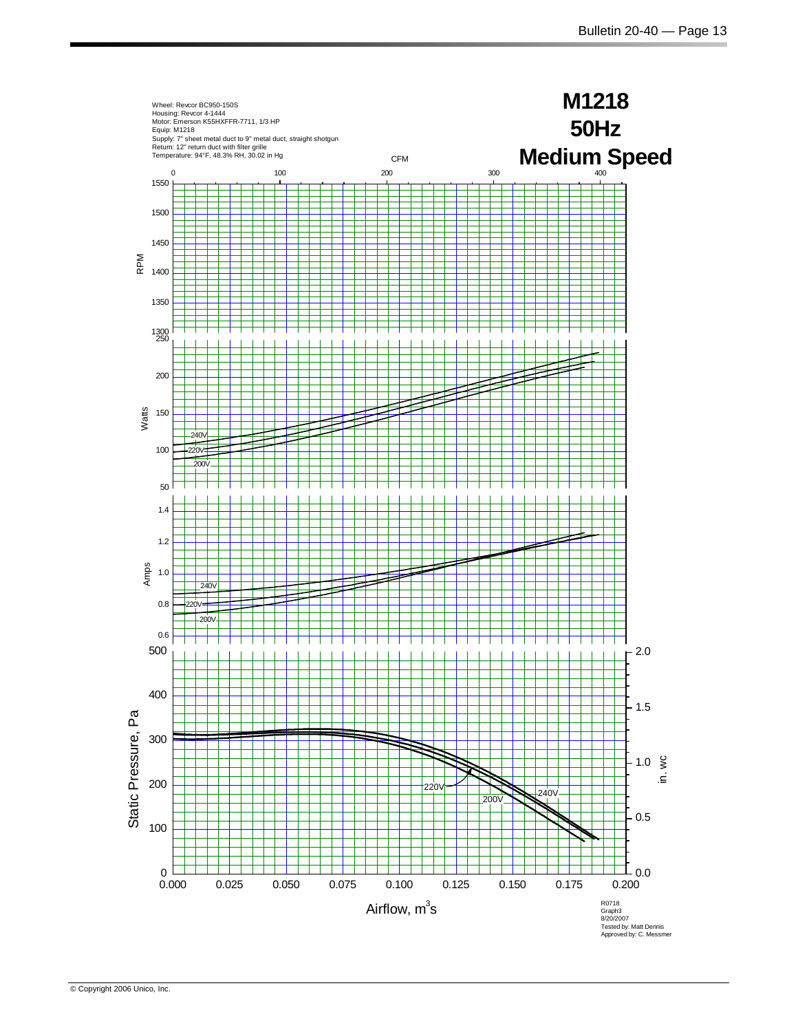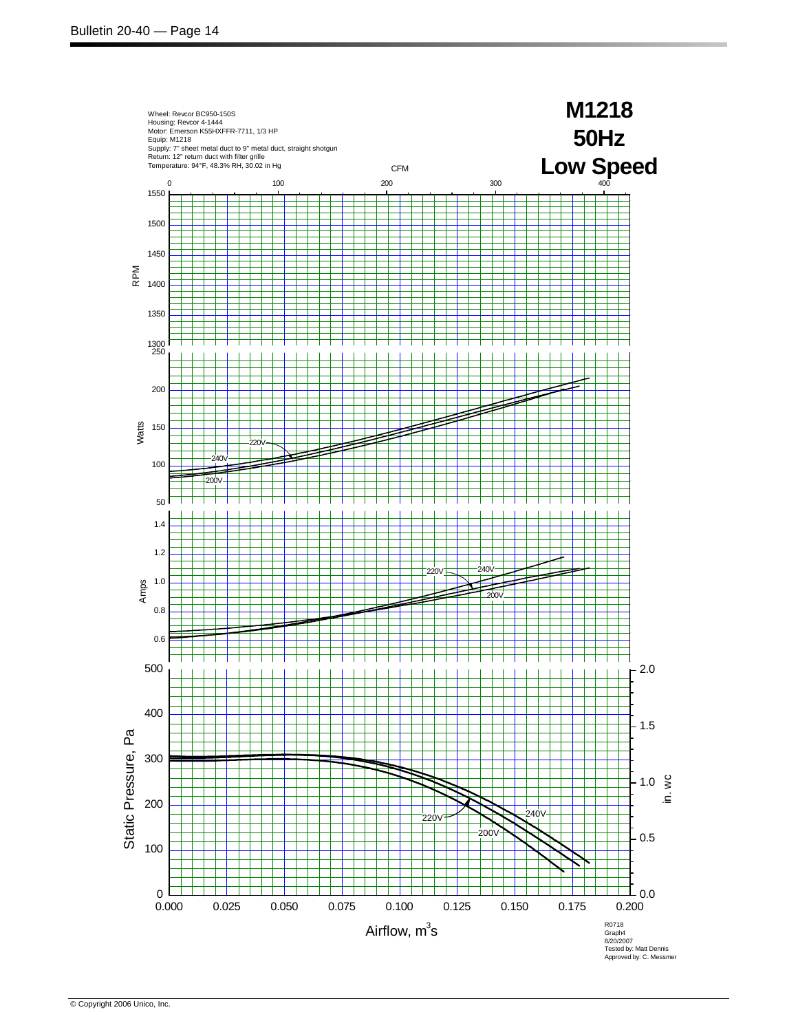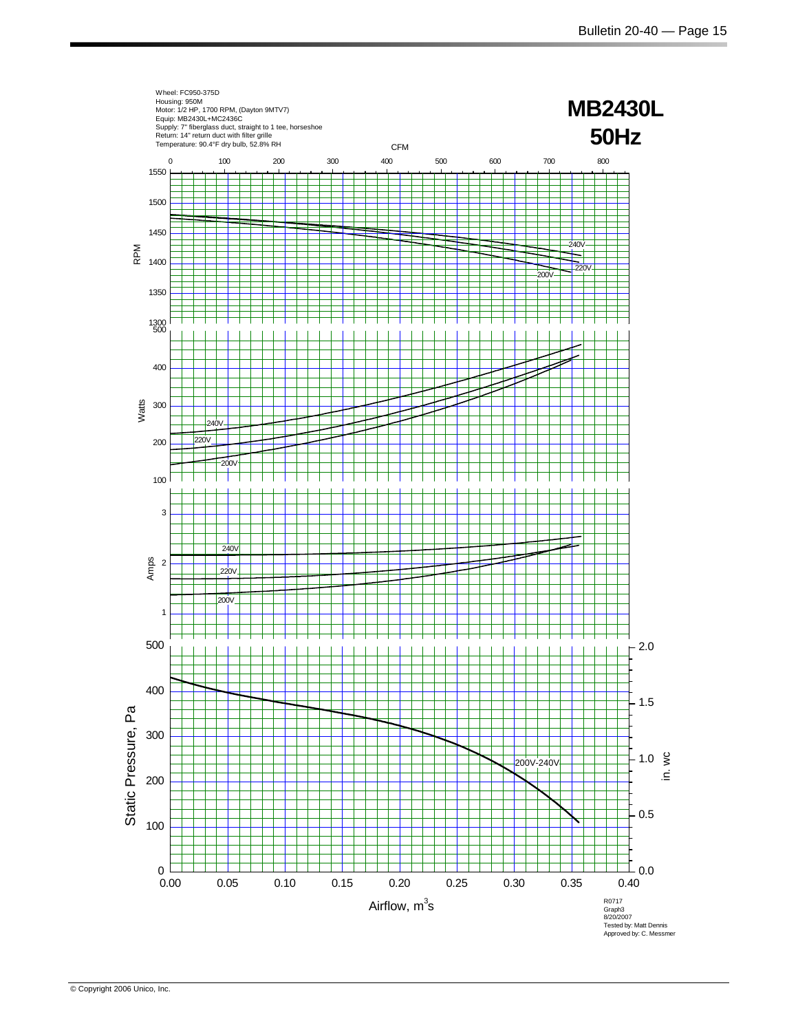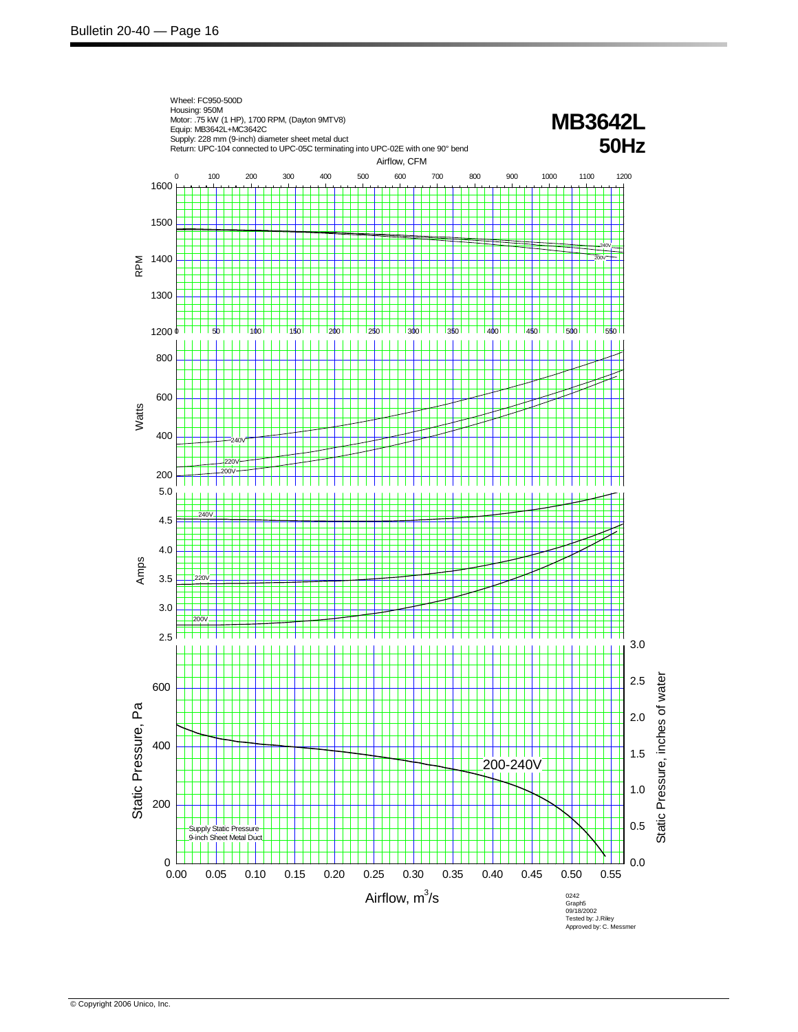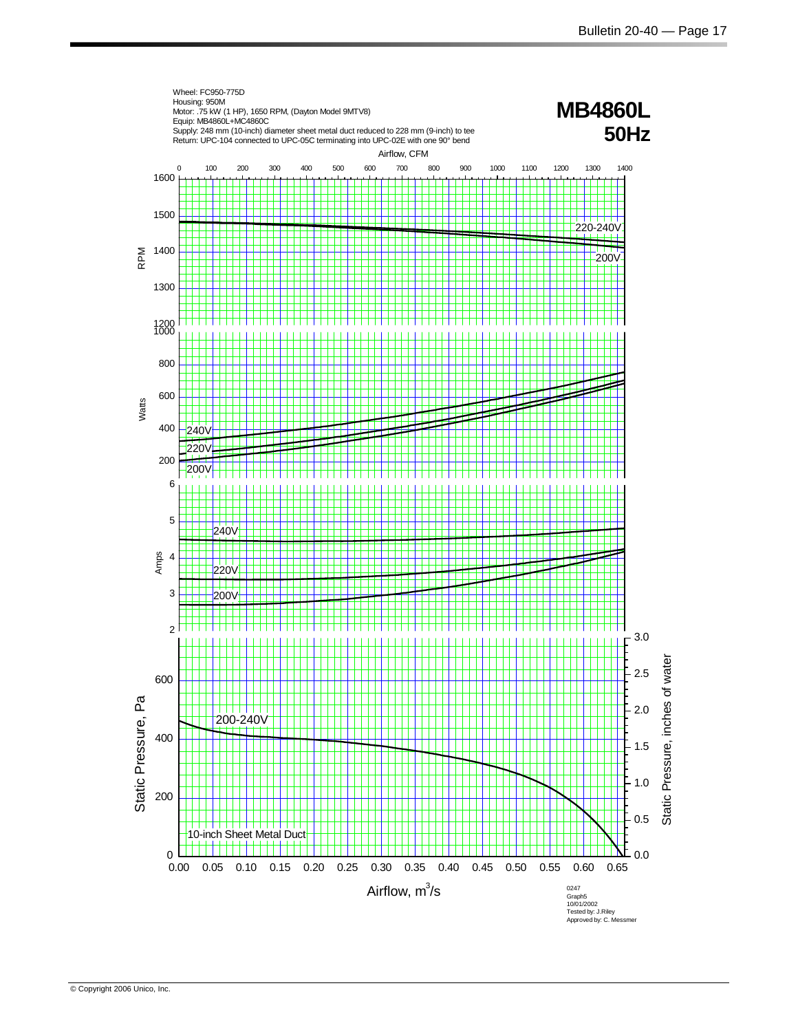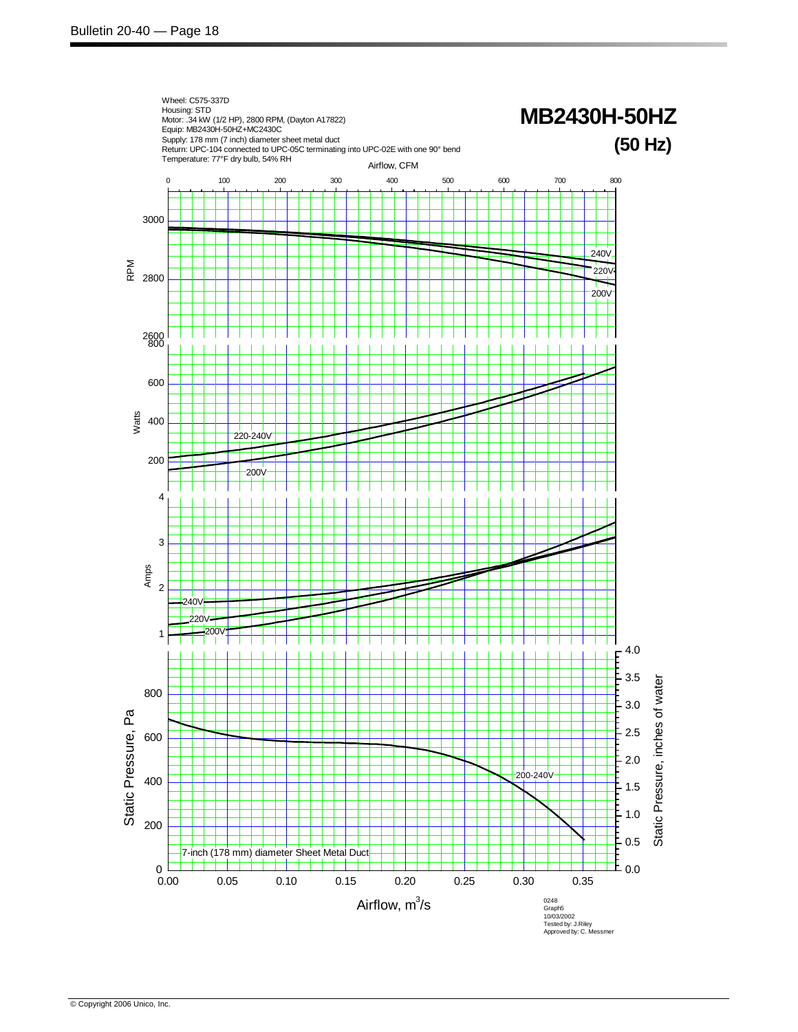